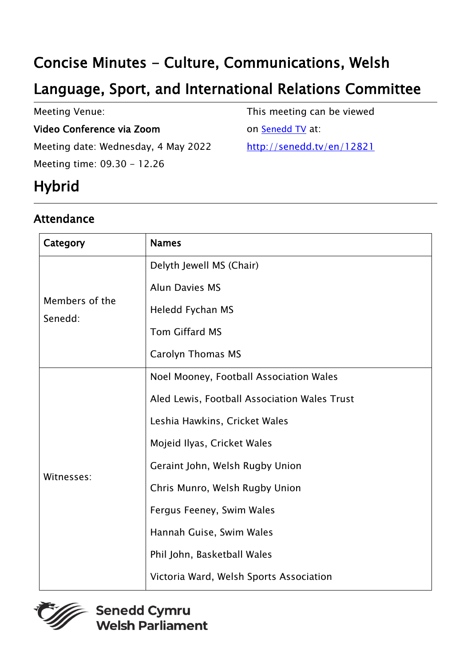# Concise Minutes - Culture, Communications, Welsh

# Language, Sport, and International Relations Committee

Meeting Venue:

#### Video Conference via Zoom

Meeting date: Wednesday, 4 May 2022 Meeting time: 09.30 - 12.26

This meeting can be viewed

on [Senedd TV](http://senedd.tv/) at:

http://senedd.tv/en/12821

# **Hybrid**

### Attendance

| Category                  | <b>Names</b>                                 |
|---------------------------|----------------------------------------------|
| Members of the<br>Senedd: | Delyth Jewell MS (Chair)                     |
|                           | <b>Alun Davies MS</b>                        |
|                           | Heledd Fychan MS                             |
|                           | <b>Tom Giffard MS</b>                        |
|                           | <b>Carolyn Thomas MS</b>                     |
| Witnesses:                | Noel Mooney, Football Association Wales      |
|                           | Aled Lewis, Football Association Wales Trust |
|                           | Leshia Hawkins, Cricket Wales                |
|                           | Mojeid Ilyas, Cricket Wales                  |
|                           | Geraint John, Welsh Rugby Union              |
|                           | Chris Munro, Welsh Rugby Union               |
|                           | Fergus Feeney, Swim Wales                    |
|                           | Hannah Guise, Swim Wales                     |
|                           | Phil John, Basketball Wales                  |
|                           | Victoria Ward, Welsh Sports Association      |

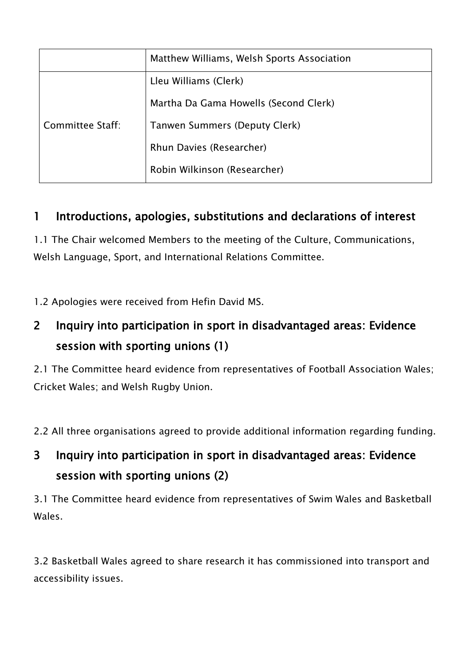|                  | Matthew Williams, Welsh Sports Association |
|------------------|--------------------------------------------|
| Committee Staff: | Lleu Williams (Clerk)                      |
|                  | Martha Da Gama Howells (Second Clerk)      |
|                  | Tanwen Summers (Deputy Clerk)              |
|                  | Rhun Davies (Researcher)                   |
|                  | Robin Wilkinson (Researcher)               |

### 1 Introductions, apologies, substitutions and declarations of interest

1.1 The Chair welcomed Members to the meeting of the Culture, Communications, Welsh Language, Sport, and International Relations Committee.

1.2 Apologies were received from Hefin David MS.

## 2 Inquiry into participation in sport in disadvantaged areas: Evidence session with sporting unions (1)

2.1 The Committee heard evidence from representatives of Football Association Wales; Cricket Wales; and Welsh Rugby Union.

2.2 All three organisations agreed to provide additional information regarding funding.

## 3 Inquiry into participation in sport in disadvantaged areas: Evidence session with sporting unions (2)

3.1 The Committee heard evidence from representatives of Swim Wales and Basketball Wales.

3.2 Basketball Wales agreed to share research it has commissioned into transport and accessibility issues.